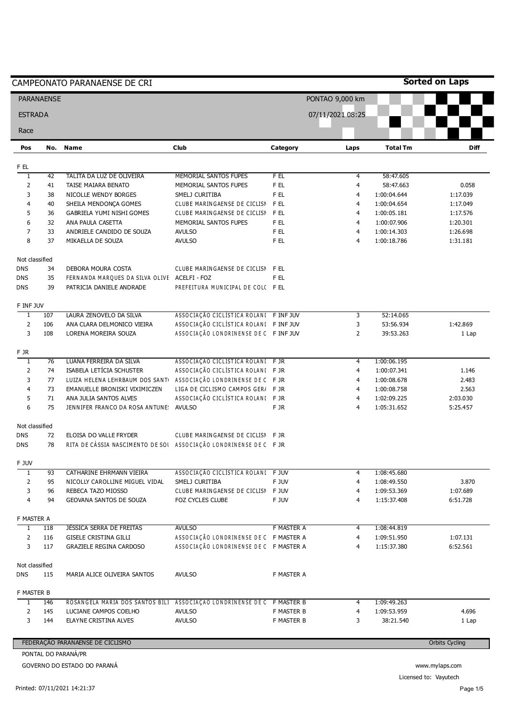|                | <b>PARANAENSE</b> |                                                                  |                                        |            | PONTAO 9,000 km  |                 |                       |
|----------------|-------------------|------------------------------------------------------------------|----------------------------------------|------------|------------------|-----------------|-----------------------|
| <b>ESTRADA</b> |                   |                                                                  |                                        |            | 07/11/2021 08:25 |                 |                       |
| Race           |                   |                                                                  |                                        |            |                  |                 |                       |
| Pos            | No.               | <b>Name</b>                                                      | <b>Club</b>                            | Category   | Laps             | <b>Total Tm</b> | <b>Diff</b>           |
| F EL           |                   |                                                                  |                                        |            |                  |                 |                       |
| T              | 42                | TALITA DA LUZ DE OLIVEIRA                                        | MEMORIAL SANTOS FUPES                  | F EL       | $\overline{4}$   | 58:47.605       |                       |
| $\overline{2}$ | 41                | TAISE MAIARA BENATO                                              | MEMORIAL SANTOS FUPES                  | F EL       | 4                | 58:47.663       | 0.058                 |
| 3              | 38                | NICOLLE WENDY BORGES                                             | SMELJ CURITIBA                         | F EL       | 4                | 1:00:04.644     | 1:17.039              |
| 4              | 40                | SHEILA MENDONÇA GOMES                                            | CLUBE MARINGAENSE DE CICLISN           | F EL       | 4                | 1:00:04.654     | 1:17.049              |
| 5              | 36                | GABRIELA YUMI NISHI GOMES                                        | CLUBE MARINGAENSE DE CICLISN           | F EL       | 4                | 1:00:05.181     | 1:17.576              |
| 6              | 32                | ANA PAULA CASETTA                                                | MEMORIAL SANTOS FUPES                  | F EL       | 4                | 1:00:07.906     | 1:20.301              |
| $\overline{7}$ | 33                | ANDRIELE CANDIDO DE SOUZA                                        | <b>AVULSO</b>                          | F EL       | 4                | 1:00:14.303     | 1:26.698              |
| 8              | 37                | MIKAELLA DE SOUZA                                                | <b>AVULSO</b>                          | F EL       | $\overline{4}$   | 1:00:18.786     | 1:31.181              |
| Not classified |                   |                                                                  |                                        |            |                  |                 |                       |
| <b>DNS</b>     | 34                | DEBORA MOURA COSTA                                               | CLUBE MARINGAENSE DE CICLISN F EL      |            |                  |                 |                       |
| <b>DNS</b>     | 35                | FERNANDA MARQUES DA SILVA OLIVE ACELFI - FOZ                     |                                        | F EL       |                  |                 |                       |
| <b>DNS</b>     | 39                | PATRICIA DANIELE ANDRADE                                         | PREFEITURA MUNICIPAL DE COLC FEL       |            |                  |                 |                       |
| F INF JUV      |                   |                                                                  |                                        |            |                  |                 |                       |
| 1              | 107               | LAURA ZENOVELO DA SILVA                                          | ASSOCIAÇÃO CICLISTICA ROLANI FINFJUV   |            | 3                | 52:14.065       |                       |
| $\overline{2}$ | 106               | ANA CLARA DELMONICO VIEIRA                                       | ASSOCIAÇÃO CICLÍSTICA ROLANI FINFJUV   |            | 3                | 53:56.934       | 1:42.869              |
| 3              | 108               | LORENA MOREIRA SOUZA                                             | ASSOCIAÇÃO LONDRINENSE DE C FINFJUV    |            | $\overline{2}$   | 39:53.263       | 1 Lap                 |
| F JR           |                   |                                                                  |                                        |            |                  |                 |                       |
| $\mathbf{1}$   | 76                | LUANA FERREIRA DA SILVA                                          | ASSOCIAÇÃO CICLÍSTICA ROLANI FJR       |            | 4                | 1:00:06.195     |                       |
| $\overline{2}$ | 74                | ISABELA LETÍCIA SCHUSTER                                         | ASSOCIAÇÃO CICLÍSTICA ROLANI FJR       |            | 4                | 1:00:07.341     | 1.146                 |
| 3              | 77                | LUIZA HELENA LEHRBAUM DOS SANT                                   | ASSOCIAÇÃO LONDRINENSE DE C FJR        |            | 4                | 1:00:08.678     | 2.483                 |
| 4              | 73                | EMANUELLE BRONISKI VIXIMICZEN                                    | LIGA DE CICLISMO CAMPOS GER/ F JR      |            | 4                | 1:00:08.758     | 2.563                 |
| 5              | 71                | ANA JULIA SANTOS ALVES                                           | ASSOCIAÇÃO CICLÍSTICA ROLANI FJR       |            | 4                | 1:02:09.225     | 2:03.030              |
| 6              | 75                | JENNIFER FRANCO DA ROSA ANTUNE: AVULSO                           |                                        | F JR       | $\overline{4}$   | 1:05:31.652     | 5:25.457              |
| Not classified |                   |                                                                  |                                        |            |                  |                 |                       |
| <b>DNS</b>     | 72                | ELOISA DO VALLE FRYDER                                           | CLUBE MARINGAENSE DE CICLISN F JR      |            |                  |                 |                       |
| <b>DNS</b>     | 78                | RITA DE CÁSSIA NASCIMENTO DE SOI ASSOCIAÇÃO LONDRINENSE DE C FJR |                                        |            |                  |                 |                       |
| F JUV          |                   |                                                                  |                                        |            |                  |                 |                       |
| 1              | 93                | CATHARINE EHRMANN VIEIRA                                         | ASSOCIAÇÃO CICLÍSTICA ROLANI FJUV      |            | 4                | 1:08:45.680     |                       |
| 2              | 95                | NICOLLY CAROLLINE MIGUEL VIDAL                                   | SMELJ CURITIBA                         | F JUV      | 4                | 1:08:49.550     | 3.870                 |
| 3              | 96                | REBECA TAZO MIOSSO                                               | CLUBE MARINGAENSE DE CICLISN F JUV     |            | 4                | 1:09:53.369     | 1:07.689              |
| 4              | 94                | GEOVANA SANTOS DE SOUZA                                          | FOZ CYCLES CLUBE                       | F JUV      | 4                | 1:15:37.408     | 6:51.728              |
| F MASTER A     |                   |                                                                  |                                        |            |                  |                 |                       |
| $\mathbf{1}$   | 118               | <b>JESSICA SERRA DE FREITAS</b>                                  | <b>AVULSO</b>                          | F MASTER A | 4                | 1:08:44.819     |                       |
| $\overline{2}$ | 116               | <b>GISELE CRISTINA GILLI</b>                                     | ASSOCIAÇÃO LONDRINENSE DE C F MASTER A |            | 4                | 1:09:51.950     | 1:07.131              |
| 3              | 117               | <b>GRAZIELE REGINA CARDOSO</b>                                   | ASSOCIAÇÃO LONDRINENSE DE C F MASTER A |            | 4                | 1:15:37.380     | 6:52.561              |
| Not classified |                   |                                                                  |                                        |            |                  |                 |                       |
| <b>DNS</b>     | 115               | MARIA ALICE OLIVEIRA SANTOS                                      | <b>AVULSO</b>                          | F MASTER A |                  |                 |                       |
| F MASTER B     |                   |                                                                  |                                        |            |                  |                 |                       |
| 1              | 146               | ROSANGELA MARIA DOS SANTOS BILI                                  | ASSOCIAÇÃO LONDRINENSE DE C F MASTER B |            | 4                | 1:09:49.263     |                       |
| 2              | 145               | LUCIANE CAMPOS COELHO                                            | <b>AVULSO</b>                          | F MASTER B | 4                | 1:09:53.959     | 4.696                 |
| 3              | 144               | ELAYNE CRISTINA ALVES                                            | <b>AVULSO</b>                          | F MASTER B | 3                | 38:21.540       | 1 Lap                 |
|                |                   | FEDERAÇÃO PARANAENSE DE CICLISMO                                 |                                        |            |                  |                 | <b>Orbits Cycling</b> |
|                |                   | PONTAL DO PARANÁ/PR                                              |                                        |            |                  |                 |                       |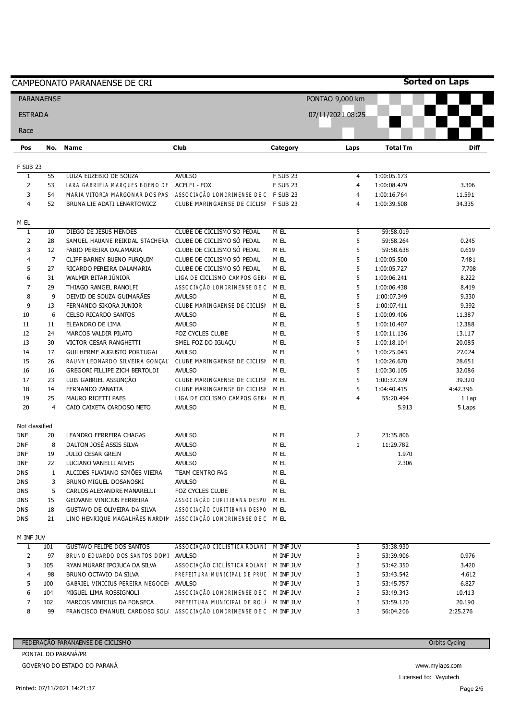| <b>PARANAENSE</b>                                                                                                |                | CAMPEONATO PARANAENSE DE CRI                                        |                                        |                 | PONTAO 9,000 km  |                 | <b>Sorted on Laps</b> |
|------------------------------------------------------------------------------------------------------------------|----------------|---------------------------------------------------------------------|----------------------------------------|-----------------|------------------|-----------------|-----------------------|
| <b>ESTRADA</b>                                                                                                   |                |                                                                     |                                        |                 |                  |                 |                       |
| Race                                                                                                             |                |                                                                     |                                        |                 | 07/11/2021 08:25 |                 |                       |
| Pos                                                                                                              | No.            | <b>Name</b>                                                         | <b>Club</b>                            | Category        | Laps             | <b>Total Tm</b> | <b>Diff</b>           |
|                                                                                                                  |                |                                                                     |                                        |                 |                  |                 |                       |
| <b>F SUB 23</b><br>$\overline{1}$                                                                                | 55             | LUIZA EUZEBIO DE SOUZA                                              | <b>AVULSO</b>                          | <b>F SUB 23</b> | 4                | 1:00:05.173     |                       |
| $\overline{2}$                                                                                                   | 53             | LARA GABRIELA MARQUES BOENO DE ACELFI - FOX                         |                                        | <b>F SUB 23</b> | 4                | 1:00:08.479     | 3.306                 |
| 3                                                                                                                | 54             | MARIA VITORIA MARGONAR DOS PAS ASSOCIAÇÃO LONDRINENSE DE C F SUB 23 |                                        |                 | 4                | 1:00:16.764     | 11.591                |
| 4                                                                                                                | 52             | BRUNA LIE ADATI LENARTOWICZ                                         | CLUBE MARINGAENSE DE CICLISN F SUB 23  |                 | $\overline{4}$   | 1:00:39.508     | 34.335                |
| M EL                                                                                                             |                |                                                                     |                                        |                 |                  |                 |                       |
| 1                                                                                                                | 10             | DIEGO DE JESUS MENDES                                               | CLUBE DE CICLISMO SÓ PEDAL             | M EL            | 5                | 59:58.019       |                       |
| $\mathsf{2}\!\!\:\mathsf{1}\!\!\:\mathsf{2}\!\!\:\mathsf{1}\!\!\:\mathsf{3}\mathsf{2}\!\!\:\mathsf{4}\mathsf{3}$ | 28             | SAMUEL HAUANE REIKDAL STACHERA                                      | CLUBE DE CICLISMO SÓ PEDAL             | M EL            | 5                | 59:58.264       | 0.245                 |
| 3                                                                                                                | 12             | FABIO PEREIRA DALAMARIA                                             | CLUBE DE CICLISMO SÓ PEDAL             | M EL            | 5                | 59:58.638       | 0.619                 |
| 4                                                                                                                | $\overline{7}$ | CLIFF BARNEY BUENO FURQUIM                                          | CLUBE DE CICLISMO SÓ PEDAL             | M EL            | 5                | 1:00:05.500     | 7.481                 |
| 5                                                                                                                | 27             | RICARDO PEREIRA DALAMARIA                                           | CLUBE DE CICLISMO SÓ PEDAL             | M EL            | 5                | 1:00:05.727     | 7.708                 |
| 6                                                                                                                | 31             | WALMIR BITAR JÚNIOR                                                 | LIGA DE CICLISMO CAMPOS GERI           | M EL            | 5                | 1:00:06.241     | 8.222                 |
| $\overline{7}$                                                                                                   | 29             | THIAGO RANGEL RANOLFI                                               | ASSOCIAÇÃO LONDRINENSE DE C            | M EL            | 5                | 1:00:06.438     | 8.419                 |
| 8                                                                                                                | 9              | DEIVID DE SOUZA GUIMARÃES                                           | <b>AVULSO</b>                          | M EL            | 5                | 1:00:07.349     | 9.330                 |
| 9                                                                                                                | 13             | FERNANDO SIKORA JUNIOR                                              | CLUBE MARINGAENSE DE CICLISN           | M EL            | 5                | 1:00:07.411     | 9.392                 |
| 10                                                                                                               | 6              | CELSO RICARDO SANTOS                                                | <b>AVULSO</b>                          | M EL            | 5                | 1:00:09.406     | 11.387                |
| 11                                                                                                               | 11             | ELEANDRO DE LIMA                                                    | <b>AVULSO</b>                          | M EL            | 5                | 1:00:10.407     | 12.388                |
| 12                                                                                                               | 24             | MARCOS VALDIR PILATO                                                | FOZ CYCLES CLUBE                       | M EL            | 5                | 1:00:11.136     | 13.117                |
| 13                                                                                                               | 30             | VICTOR CESAR RANGHETTI                                              | SMEL FOZ DO IGUAÇU                     | M EL            | 5                | 1:00:18.104     | 20.085                |
| 14                                                                                                               | 17             | GUILHERME AUGUSTO PORTUGAL                                          | <b>AVULSO</b>                          | M EL            | 5                | 1:00:25.043     | 27.024                |
| 15                                                                                                               | 26             | RAUNY LEONARDO SILVEIRA GONÇAL                                      | CLUBE MARINGAENSE DE CICLISN           | M EL            | 5                | 1:00:26.670     | 28.651                |
| 16                                                                                                               | 16             | GREGORI FILLIPE ZICH BERTOLDI                                       | <b>AVULSO</b>                          | M EL            | 5                | 1:00:30.105     | 32.086                |
| 17                                                                                                               | 23             | LUIS GABRIEL ASSUNÇÃO                                               | CLUBE MARINGAENSE DE CICLISN           | M EL            | 5                | 1:00:37.339     | 39.320                |
| 18                                                                                                               | 14             | FERNANDO ZANATTA                                                    | CLUBE MARINGAENSE DE CICLISN           | M EL            | 5                | 1:04:40.415     | 4:42.396              |
| 19                                                                                                               | 25             | MAURO RICETTI PAES                                                  | LIGA DE CICLISMO CAMPOS GERI           | M EL            | $\overline{4}$   | 55:20.494       | 1 Lap                 |
| 20                                                                                                               | $\overline{4}$ | CAIO CAIXETA CARDOSO NETO                                           | <b>AVULSO</b>                          | M EL            |                  | 5.913           | 5 Laps                |
| Not classified                                                                                                   |                |                                                                     |                                        |                 |                  |                 |                       |
| <b>DNF</b>                                                                                                       | 20             | LEANDRO FERREIRA CHAGAS                                             | <b>AVULSO</b>                          | M EL            | $\overline{2}$   | 23:35.806       |                       |
| <b>DNF</b>                                                                                                       | 8              | DALTON JOSÉ ASSIS SILVA                                             | <b>AVULSO</b>                          | M EL            | $\mathbf{1}$     | 11:29.782       |                       |
| DNF                                                                                                              | 19             | JULIO CESAR GREIN                                                   | <b>AVULSO</b>                          | M EL            |                  | 1.970           |                       |
| DNF                                                                                                              | 22             | LUCIANO VANELLI ALVES                                               | <b>AVULSO</b>                          | M EL            |                  | 2.306           |                       |
| <b>DNS</b>                                                                                                       | $\mathbf{1}$   | ALCIDES FLAVIANO SIMÕES VIEIRA                                      | TEAM CENTRO FAG                        | M EL            |                  |                 |                       |
| DNS                                                                                                              | 3              | BRUNO MIGUEL DOSANOSKI                                              | <b>AVULSO</b>                          | M EL            |                  |                 |                       |
| DNS                                                                                                              | 5              | CARLOS ALEXANDRE MANARELLI                                          | FOZ CYCLES CLUBE                       | M EL            |                  |                 |                       |
| <b>DNS</b>                                                                                                       | 15             | <b>GEOVANE VINICIUS FERREIRA</b>                                    | ASSOCIAÇÃO CURITIBANA DESPO            | M EL            |                  |                 |                       |
| DNS                                                                                                              | 18             | GUSTAVO DE OLIVEIRA DA SILVA                                        | ASSOCIAÇÃO CURITIBANA DESPO            | M EL            |                  |                 |                       |
| <b>DNS</b>                                                                                                       | 21             | LINO HENRIQUE MAGALHÃES NARDIN ASSOCIAÇÃO LONDRINENSE DE C MEL      |                                        |                 |                  |                 |                       |
| M INF JUV                                                                                                        |                |                                                                     |                                        |                 |                  |                 |                       |
| $\overline{1}$                                                                                                   | 101            | <b>GUSTAVO FELIPE DOS SANTOS</b>                                    | ASSOCIAÇÃO CICLÍSTICA ROLANI M INF JUV |                 | 3                | 53:38.930       |                       |
| $\overline{\mathbf{c}}$                                                                                          | 97             | BRUNO EDUARDO DOS SANTOS DOMI AVULSO                                |                                        | M INF JUV       | 3                | 53:39.906       | 0.976                 |
| 3                                                                                                                | 105            | RYAN MURARI IPOJUCA DA SILVA                                        | ASSOCIAÇÃO CICLÍSTICA ROLANI M INFJUV  |                 | 3                | 53:42.350       | 3.420                 |
| 4                                                                                                                | 98             | BRUNO OCTAVIO DA SILVA                                              | PREFEITURA MUNICIPAL DE PRUD MINF JUV  |                 | 3                | 53:43.542       | 4.612                 |
| 5                                                                                                                | 100            | GABRIEL VINICIUS PEREIRA NEGOCEI AVULSO                             |                                        | M INF JUV       | 3                | 53:45.757       | 6.827                 |
| 6                                                                                                                | 104            | MIGUEL LIMA ROSSIGNOLI                                              | ASSOCIAÇÃO LONDRINENSE DE C M INF JUV  |                 | 3                | 53:49.343       | 10.413                |
| 7                                                                                                                | 102            | MARCOS VINICIUS DA FONSECA                                          | PREFEITURA MUNICIPAL DE ROLÍ M INF JUV |                 | 3                | 53:59.120       | 20.190                |
| 8                                                                                                                | 99             | FRANCISCO EMANUEL CARDOSO SOL/                                      | ASSOCIAÇÃO LONDRINENSE DE C M INF JUV  |                 | 3                | 56:04.206       | 2:25.276              |
|                                                                                                                  |                |                                                                     |                                        |                 |                  |                 |                       |
|                                                                                                                  |                | FEDERAÇÃO PARANAENSE DE CICLISMO                                    |                                        |                 |                  |                 | <b>Orbits Cycling</b> |

PONTAL DO PARANÁ/PR

GOVERNO DO ESTADO DO PARANÁ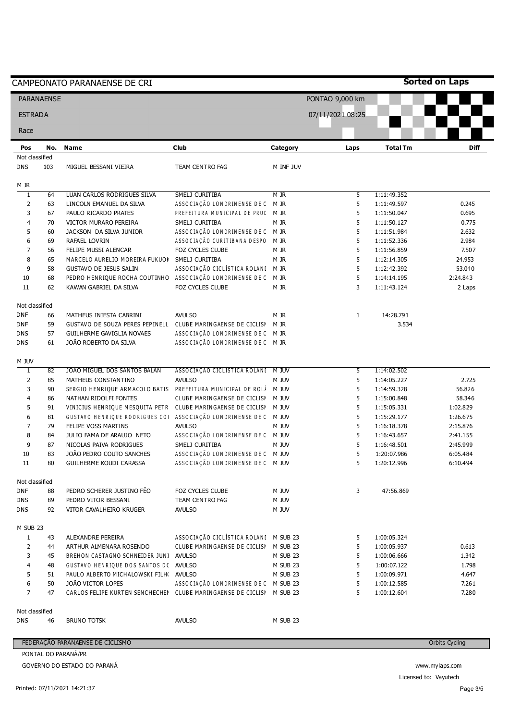|                              |                   | CAMPEONATO PARANAENSE DE CRI                                                               |                                       |              |                  |                            | <b>Sorted on Laps</b> |
|------------------------------|-------------------|--------------------------------------------------------------------------------------------|---------------------------------------|--------------|------------------|----------------------------|-----------------------|
|                              | <b>PARANAENSE</b> |                                                                                            |                                       |              | PONTAO 9,000 km  |                            |                       |
| <b>ESTRADA</b>               |                   |                                                                                            |                                       |              | 07/11/2021 08:25 |                            |                       |
| Race                         |                   |                                                                                            |                                       |              |                  |                            |                       |
| Pos                          | No.               | <b>Name</b>                                                                                | Club                                  | Category     | Laps             | <b>Total Tm</b>            | <b>Diff</b>           |
| Not classified<br><b>DNS</b> | 103               | MIGUEL BESSANI VIEIRA                                                                      | TEAM CENTRO FAG                       | M INF JUV    |                  |                            |                       |
| M JR                         |                   |                                                                                            |                                       |              |                  |                            |                       |
| 1                            | 64                | LUAN CARLOS RODRIGUES SILVA                                                                | SMELJ CURITIBA                        | M JR         | 5                | 1:11:49.352                |                       |
| $\overline{2}$               | 63                | LINCOLN EMANUEL DA SILVA                                                                   | ASSOCIAÇÃO LONDRINENSE DE C           | M JR         | 5                | 1:11:49.597                | 0.245                 |
| 3                            | 67                | PAULO RICARDO PRATES                                                                       | PREFEITURA MUNICIPAL DE PRUD          | M JR         | 5                | 1:11:50.047                | 0.695                 |
| 4                            | 70                | VICTOR MURARO PEREIRA                                                                      | SMELJ CURITIBA                        | M JR         | 5                | 1:11:50.127                | 0.775                 |
| 5                            | 60                | JACKSON DA SILVA JUNIOR                                                                    | ASSOCIAÇÃO LONDRINENSE DE C M JR      |              | 5                | 1:11:51.984                | 2.632                 |
| 6                            | 69                | RAFAEL LOVRIN                                                                              | ASSOCIAÇÃO CURITIBANA DESPO           | M JR         | 5                | 1:11:52.336                | 2.984                 |
| $\overline{7}$               | 56                | FELIPE MUSSI ALENCAR                                                                       | FOZ CYCLES CLUBE                      | M JR         | 5                | 1:11:56.859                | 7.507                 |
| 8                            | 65                | MARCELO AURELIO MOREIRA FUKUOI                                                             | SMELJ CURITIBA                        | M JR         | 5                | 1:12:14.305                | 24.953                |
| 9                            | 58                | <b>GUSTAVO DE JESUS SALIN</b>                                                              | ASSOCIAÇÃO CICLÍSTICA ROLANI M JR     |              | 5                | 1:12:42.392                | 53.040                |
| 10                           | 68                | PEDRO HENRIQUE ROCHA COUTINHO                                                              | ASSOCIAÇÃO LONDRINENSE DE C           | M JR         | 5                | 1:14:14.195                | 2:24.843              |
| 11                           | 62                | KAWAN GABRIEL DA SILVA                                                                     | FOZ CYCLES CLUBE                      | M JR         | 3                | 1:11:43.124                | 2 Laps                |
| Not classified               |                   |                                                                                            |                                       |              |                  |                            |                       |
| <b>DNF</b>                   | 66                | MATHEUS INIESTA CABRINI                                                                    | <b>AVULSO</b>                         | M JR         | $\mathbf{1}$     | 14:28.791                  |                       |
| <b>DNF</b>                   | 59                | GUSTAVO DE SOUZA PERES PEPINELL CLUBE MARINGAENSE DE CICLISM                               |                                       | M JR         |                  | 3.534                      |                       |
| <b>DNS</b>                   | 57                | GUILHERME GAVIGLIA NOVAES                                                                  | ASSOCIAÇÃO LONDRINENSE DE C M JR      |              |                  |                            |                       |
| <b>DNS</b>                   | 61                | JOÃO ROBERTO DA SILVA                                                                      | ASSOCIAÇÃO LONDRINENSE DE C M JR      |              |                  |                            |                       |
| M JUV                        |                   |                                                                                            |                                       |              |                  |                            |                       |
| $\mathbf{1}$                 | 82                | JOÃO MIGUEL DOS SANTOS BALAN                                                               | ASSOCIAÇÃO CICLÍSTICA ROLANI M JUV    |              | 5                | 1:14:02.502                |                       |
| $\overline{2}$               | 85                | MATHEUS CONSTANTINO                                                                        | <b>AVULSO</b>                         | <b>M JUV</b> | 5                | 1:14:05.227                | 2.725                 |
| 3                            | 90                | SERGIO HENRIQUE ARMACOLO BATIS                                                             | PREFEITURA MUNICIPAL DE ROLÍ          | M JUV        | 5                | 1:14:59.328                | 56.826                |
| 4                            | 86                | NATHAN RIDOLFI FONTES                                                                      | CLUBE MARINGAENSE DE CICLISN          | m juv        | 5                | 1:15:00.848                | 58.346                |
| 5                            | 91                | VINICIUS HENRIQUE MESQUITA PETR CLUBE MARINGAENSE DE CICLISN                               |                                       | M JUV        | 5                | 1:15:05.331                | 1:02.829              |
| 6                            | 81                | GUSTAVO HENRIQUE RODRIGUES COI                                                             | ASSOCIAÇÃO LONDRINENSE DE C M JUV     |              | 5                | 1:15:29.177                | 1:26.675              |
| 7                            | 79                | FELIPE VOSS MARTINS                                                                        | <b>AVULSO</b>                         | M JUV        | 5                | 1:16:18.378                | 2:15.876              |
| 8                            | 84                | JULIO FAMA DE ARAUJO NETO                                                                  | ASSOCIAÇÃO LONDRINENSE DE C M JUV     |              | 5                | 1:16:43.657                | 2:41.155              |
| 9                            | 87                | NICOLAS PAIVA RODRIGUES                                                                    | SMELJ CURITIBA                        | M JUV        | 5                | 1:16:48.501                | 2:45.999              |
| 10                           | 83                | JOÃO PEDRO COUTO SANCHES                                                                   | ASSOCIAÇÃO LONDRINENSE DE C M JUV     |              | 5                | 1:20:07.986                | 6:05.484              |
| 11                           | 80                | GUILHERME KOUDI CARASSA                                                                    | ASSOCIAÇÃO LONDRINENSE DE C M JUV     |              | 5                | 1:20:12.996                | 6:10.494              |
| Not classified               |                   |                                                                                            |                                       |              |                  |                            |                       |
| <b>DNF</b>                   | 88                | PEDRO SCHERER JUSTINO FÊO                                                                  | FOZ CYCLES CLUBE                      | M JUV        | 3                | 47:56.869                  |                       |
| <b>DNS</b>                   | 89                | PEDRO VITOR BESSANI                                                                        | TEAM CENTRO FAG                       | M JUV        |                  |                            |                       |
| <b>DNS</b>                   | 92                | VITOR CAVALHEIRO KRUGER                                                                    | <b>AVULSO</b>                         | M JUV        |                  |                            |                       |
| M SUB 23                     |                   |                                                                                            |                                       |              |                  |                            |                       |
| $\overline{1}$               | 43                | ALEXANDRE PEREIRA                                                                          | ASSOCIAÇÃO CICLISTICA ROLANI M SUB 23 |              | 5                | 1:00:05.324                |                       |
| 2                            | 44                | ARTHUR ALMENARA ROSENDO                                                                    | CLUBE MARINGAENSE DE CICLISN M SUB 23 |              | 5                | 1:00:05.937                | 0.613                 |
| 3                            | 45                | BREHON CASTAGNO SCHNEIDER JUNI AVULSO                                                      |                                       | M SUB 23     | 5                | 1:00:06.666                | 1.342                 |
| 4                            | 48                | GUSTAVO HENRIQUE DOS SANTOS D( AVULSO                                                      |                                       | M SUB 23     | 5                | 1:00:07.122                | 1.798                 |
| 5                            | 51                | PAULO ALBERTO MICHALOWSKI FILH( AVULSO                                                     |                                       | M SUB 23     | 5                | 1:00:09.971                | 4.647                 |
| 6<br>$\overline{7}$          | 50<br>47          | JOÃO VICTOR LOPES<br>CARLOS FELIPE KURTEN SENCHECHEI CLUBE MARINGAENSE DE CICLISI M SUB 23 | ASSOCIAÇÃO LONDRINENSE DE C M SUB 23  |              | 5<br>5           | 1:00:12.585<br>1:00:12.604 | 7.261<br>7.280        |
|                              |                   |                                                                                            |                                       |              |                  |                            |                       |
| Not classified<br><b>DNS</b> | 46                | <b>BRUNO TOTSK</b>                                                                         | <b>AVULSO</b>                         | M SUB 23     |                  |                            |                       |
|                              |                   |                                                                                            |                                       |              |                  |                            |                       |
|                              |                   | FEDERAÇÃO PARANAENSE DE CICLISMO                                                           |                                       |              |                  |                            | <b>Orbits Cycling</b> |
|                              |                   | PONTAL DO PARANÁ/PR                                                                        |                                       |              |                  |                            |                       |

Licensed to: Vayutech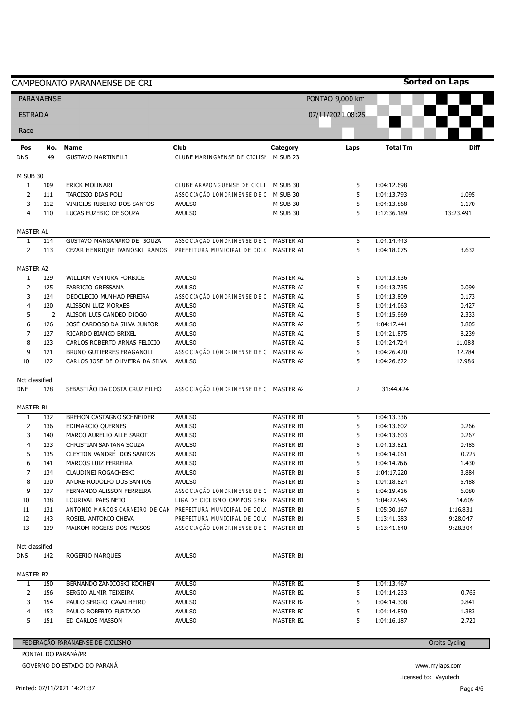|                              |                   | CAMPEONATO PARANAENSE DE CRI                              |                                                                                 |                        |                  |                            | <b>Sorted on Laps</b> |
|------------------------------|-------------------|-----------------------------------------------------------|---------------------------------------------------------------------------------|------------------------|------------------|----------------------------|-----------------------|
|                              | <b>PARANAENSE</b> |                                                           |                                                                                 |                        | PONTAO 9,000 km  |                            |                       |
| <b>ESTRADA</b>               |                   |                                                           |                                                                                 |                        | 07/11/2021 08:25 |                            |                       |
| Race                         |                   |                                                           |                                                                                 |                        |                  |                            |                       |
| Pos                          | No.               | Name                                                      | Club                                                                            | Category               | Laps             | <b>Total Tm</b>            | Diff                  |
| <b>DNS</b>                   | 49                | <b>GUSTAVO MARTINELLI</b>                                 | CLUBE MARINGAENSE DE CICLISN                                                    | M SUB 23               |                  |                            |                       |
| M SUB 30                     |                   |                                                           |                                                                                 |                        |                  |                            |                       |
| $\overline{1}$               | 109               | ERICK MOLINARI                                            | CLUBE ARAPONGUENSE DE CICLI: M SUB 30                                           |                        | 5                | 1:04:12.698                |                       |
| $\overline{2}$               | 111               | TARCISIO DIAS POLI                                        | ASSOCIAÇÃO LONDRINENSE DE C M SUB 30                                            |                        | 5                | 1:04:13.793                | 1.095                 |
| 3                            | 112               | VINICIUS RIBEIRO DOS SANTOS                               | <b>AVULSO</b>                                                                   | M SUB 30               | 5                | 1:04:13.868                | 1.170                 |
| $\overline{4}$               | 110               | LUCAS EUZEBIO DE SOUZA                                    | <b>AVULSO</b>                                                                   | M SUB 30               | 5                | 1:17:36.189                | 13:23.491             |
| MASTER A1                    |                   |                                                           |                                                                                 |                        |                  |                            |                       |
| 1                            | 114               | GUSTAVO MANGANARO DE SOUZA                                | ASSOCIAÇÃO LONDRINENSE DE C MASTER A1                                           |                        | 5                | 1:04:14.443                |                       |
| $\overline{2}$               | 113               | CEZAR HENRIQUE IVANOSKI RAMOS                             | PREFEITURA MUNICIPAL DE COLC MASTER A1                                          |                        | 5                | 1:04:18.075                | 3.632                 |
| MASTER A2                    |                   |                                                           |                                                                                 |                        |                  |                            |                       |
| $\overline{1}$               | 129               | WILLIAM VENTURA FORBICE                                   | <b>AVULSO</b>                                                                   | <b>MASTER A2</b>       | 5                | 1:04:13.636                |                       |
| $\overline{2}$               | 125               | FABRICIO GRESSANA                                         | <b>AVULSO</b>                                                                   | MASTER A2              | 5                | 1:04:13.735                | 0.099                 |
| 3                            | 124               | DEOCLECIO MUNHAO PEREIRA                                  | ASSOCIAÇÃO LONDRINENSE DE C MASTER A2                                           |                        | 5                | 1:04:13.809                | 0.173                 |
| 4                            | 120               | ALISSON LUIZ MORAES                                       | <b>AVULSO</b>                                                                   | MASTER A2              | 5                | 1:04:14.063                | 0.427                 |
| 5                            | $\overline{2}$    | ALISON LUIS CANDEO DIOGO                                  | <b>AVULSO</b>                                                                   | <b>MASTER A2</b>       | 5                | 1:04:15.969                | 2.333                 |
| 6                            | 126               | JOSÉ CARDOSO DA SILVA JUNIOR                              | <b>AVULSO</b>                                                                   | MASTER A2              | 5                | 1:04:17.441                | 3.805                 |
| $\overline{7}$<br>8          | 127<br>123        | RICARDO BIANCO BRIXEL                                     | <b>AVULSO</b><br><b>AVULSO</b>                                                  | MASTER A2<br>MASTER A2 | 5<br>5           | 1:04:21.875                | 8.239                 |
| 9                            | 121               | CARLOS ROBERTO ARNAS FELICIO<br>BRUNO GUTIERRES FRAGANOLI | ASSOCIAÇÃO LONDRINENSE DE C MASTER A2                                           |                        | 5                | 1:04:24.724<br>1:04:26.420 | 11.088<br>12.784      |
| 10                           | 122               | CARLOS JOSE DE OLIVEIRA DA SILVA                          | <b>AVULSO</b>                                                                   | MASTER A2              | 5                | 1:04:26.622                | 12.986                |
| Not classified               |                   |                                                           |                                                                                 |                        |                  |                            |                       |
| <b>DNF</b>                   | 128               | SEBASTIÃO DA COSTA CRUZ FILHO                             | ASSOCIAÇÃO LONDRINENSE DE C MASTER A2                                           |                        | 2                | 31:44.424                  |                       |
|                              |                   |                                                           |                                                                                 |                        |                  |                            |                       |
| MASTER B1<br>$\overline{1}$  | 132               | <b>BREHON CASTAGNO SCHNEIDER</b>                          | <b>AVULSO</b>                                                                   | <b>MASTER B1</b>       | 5                | 1:04:13.336                |                       |
| $\overline{2}$               | 136               | EDIMARCIO QUERNES                                         | <b>AVULSO</b>                                                                   | <b>MASTER B1</b>       | 5                | 1:04:13.602                | 0.266                 |
| 3                            | 140               | MARCO AURELIO ALLE SAROT                                  | <b>AVULSO</b>                                                                   | MASTER B1              | 5                | 1:04:13.603                | 0.267                 |
| 4                            | 133               | CHRISTIAN SANTANA SOUZA                                   | <b>AVULSO</b>                                                                   | <b>MASTER B1</b>       | 5                | 1:04:13.821                | 0.485                 |
| 5                            | 135               | CLEYTON VANDRÉ DOS SANTOS                                 | <b>AVULSO</b>                                                                   | MASTER B1              | 5                | 1:04:14.061                | 0.725                 |
| 6                            | 141               | MARCOS LUIZ FERREIRA                                      | <b>AVULSO</b>                                                                   | MASTER B1              | 5                | 1:04:14.766                | 1.430                 |
| $\overline{7}$               | 134               | CLAUDINEI ROGACHESKI                                      | <b>AVULSO</b>                                                                   | MASTER B1              | 5                | 1:04:17.220                | 3.884                 |
| 8                            | 130               | ANDRE RODOLFO DOS SANTOS                                  | <b>AVULSO</b>                                                                   | MASTER B1              | 5                | 1:04:18.824                | 5.488                 |
| 9                            | 137               | FERNANDO ALISSON FERREIRA                                 | ASSOCIAÇÃO LONDRINENSE DE C MASTER B1                                           |                        | 5                | 1:04:19.416                | 6.080                 |
| 10                           | 138               | LOURIVAL PAES NETO                                        | LIGA DE CICLISMO CAMPOS GER/ MASTER B1                                          |                        | 5                | 1:04:27.945                | 14.609                |
| 11                           | 131               | ANTONIO MARCOS CARNEIRO DE CAN                            | PREFEITURA MUNICIPAL DE COLC MASTER B1                                          |                        | 5                | 1:05:30.167                | 1:16.831              |
| 12<br>13                     | 143<br>139        | ROSIEL ANTONIO CHEVA<br>MAIKOM ROGERS DOS PASSOS          | PREFEITURA MUNICIPAL DE COLC MASTER B1<br>ASSOCIAÇÃO LONDRINENSE DE C MASTER B1 |                        | 5<br>5           | 1:13:41.383<br>1:13:41.640 | 9:28.047<br>9:28.304  |
|                              |                   |                                                           |                                                                                 |                        |                  |                            |                       |
| Not classified<br><b>DNS</b> | 142               | ROGERIO MARQUES                                           | <b>AVULSO</b>                                                                   | <b>MASTER B1</b>       |                  |                            |                       |
|                              |                   |                                                           |                                                                                 |                        |                  |                            |                       |
| MASTER B2                    |                   |                                                           |                                                                                 |                        |                  |                            |                       |
| 1                            | 150               | BERNANDO ZANICOSKI KOCHEN                                 | <b>AVULSO</b>                                                                   | MASTER B2              | 5                | 1:04:13.467                |                       |
| 2<br>3                       | 156               | SERGIO ALMIR TEIXEIRA                                     | <b>AVULSO</b>                                                                   | MASTER B2              | 5                | 1:04:14.233                | 0.766                 |
| 4                            | 154<br>153        | PAULO SERGIO CAVALHEIRO<br>PAULO ROBERTO FURTADO          | <b>AVULSO</b><br><b>AVULSO</b>                                                  | MASTER B2<br>MASTER B2 | 5<br>5           | 1:04:14.308<br>1:04:14.850 | 0.841<br>1.383        |
| 5                            | 151               | ED CARLOS MASSON                                          | <b>AVULSO</b>                                                                   | MASTER B2              | 5                | 1:04:16.187                | 2.720                 |
|                              |                   |                                                           |                                                                                 |                        |                  |                            |                       |
|                              |                   | FEDERAÇÃO PARANAENSE DE CICLISMO                          |                                                                                 |                        |                  |                            | <b>Orbits Cycling</b> |
|                              |                   | PONTAL DO PARANÁ/PR                                       |                                                                                 |                        |                  |                            |                       |

GOVERNO DO ESTADO DO PARANÁ